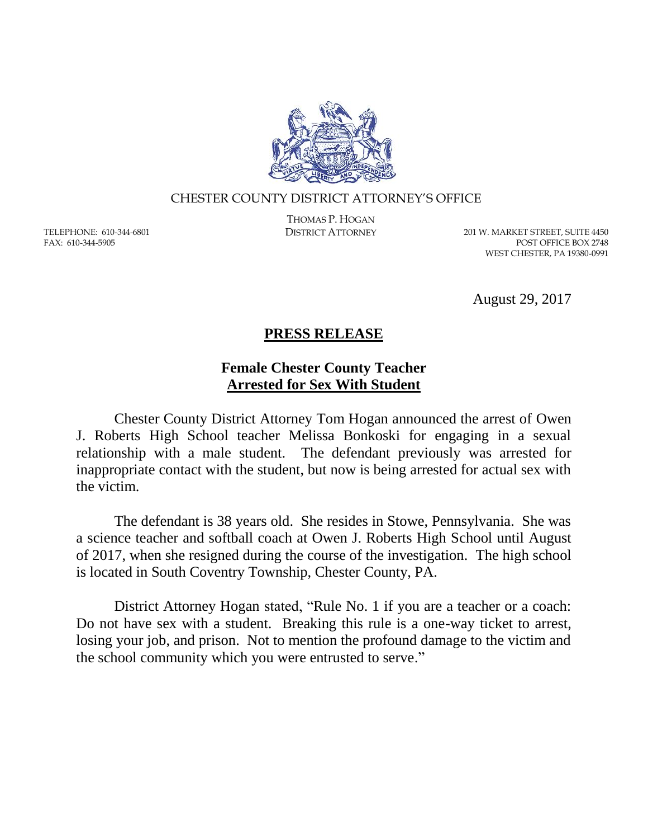

## CHESTER COUNTY DISTRICT ATTORNEY'S OFFICE

TELEPHONE: 610-344-6801 FAX: 610-344-5905

THOMAS P. HOGAN

DISTRICT ATTORNEY 201 W. MARKET STREET, SUITE 4450 POST OFFICE BOX 2748 WEST CHESTER, PA 19380-0991

August 29, 2017

## **PRESS RELEASE**

## **Female Chester County Teacher Arrested for Sex With Student**

Chester County District Attorney Tom Hogan announced the arrest of Owen J. Roberts High School teacher Melissa Bonkoski for engaging in a sexual relationship with a male student. The defendant previously was arrested for inappropriate contact with the student, but now is being arrested for actual sex with the victim.

The defendant is 38 years old. She resides in Stowe, Pennsylvania. She was a science teacher and softball coach at Owen J. Roberts High School until August of 2017, when she resigned during the course of the investigation. The high school is located in South Coventry Township, Chester County, PA.

District Attorney Hogan stated, "Rule No. 1 if you are a teacher or a coach: Do not have sex with a student. Breaking this rule is a one-way ticket to arrest, losing your job, and prison. Not to mention the profound damage to the victim and the school community which you were entrusted to serve."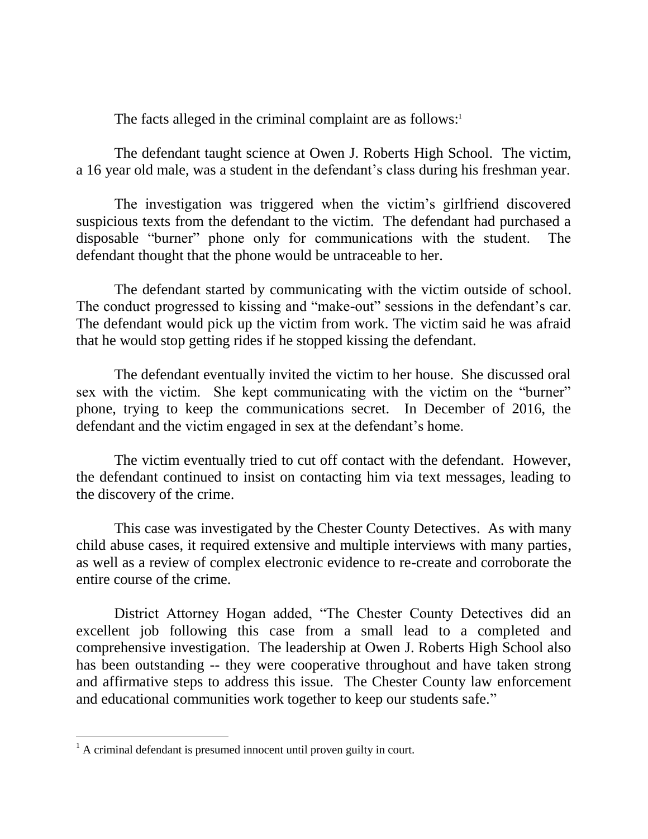The facts alleged in the criminal complaint are as follows:<sup>1</sup>

The defendant taught science at Owen J. Roberts High School. The victim, a 16 year old male, was a student in the defendant's class during his freshman year.

The investigation was triggered when the victim's girlfriend discovered suspicious texts from the defendant to the victim. The defendant had purchased a disposable "burner" phone only for communications with the student. The defendant thought that the phone would be untraceable to her.

The defendant started by communicating with the victim outside of school. The conduct progressed to kissing and "make-out" sessions in the defendant's car. The defendant would pick up the victim from work. The victim said he was afraid that he would stop getting rides if he stopped kissing the defendant.

The defendant eventually invited the victim to her house. She discussed oral sex with the victim. She kept communicating with the victim on the "burner" phone, trying to keep the communications secret. In December of 2016, the defendant and the victim engaged in sex at the defendant's home.

The victim eventually tried to cut off contact with the defendant. However, the defendant continued to insist on contacting him via text messages, leading to the discovery of the crime.

This case was investigated by the Chester County Detectives. As with many child abuse cases, it required extensive and multiple interviews with many parties, as well as a review of complex electronic evidence to re-create and corroborate the entire course of the crime.

District Attorney Hogan added, "The Chester County Detectives did an excellent job following this case from a small lead to a completed and comprehensive investigation. The leadership at Owen J. Roberts High School also has been outstanding -- they were cooperative throughout and have taken strong and affirmative steps to address this issue. The Chester County law enforcement and educational communities work together to keep our students safe."

 $\overline{a}$ 

 $1$  A criminal defendant is presumed innocent until proven guilty in court.